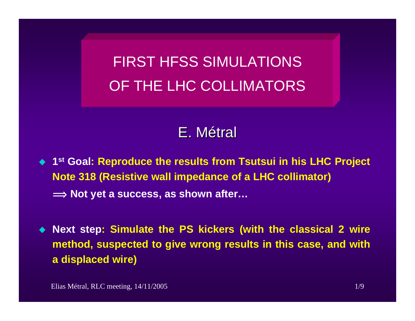FIRST HFSS SIMULATIONS OF THE LHC COLLIMATORS

# E.Métral

- ◆ 1<sup>st</sup> Goal: Reproduce the results from Tsutsui in his LHC Project **Note 318 (Resistive wall impedance of a LHC collimator) î Not yet a success, as shown after…**
- **Next step: Simulate the PS kickers (with the classical 2 wire method, suspected to give wrong results in this case, and with a displaced wire)**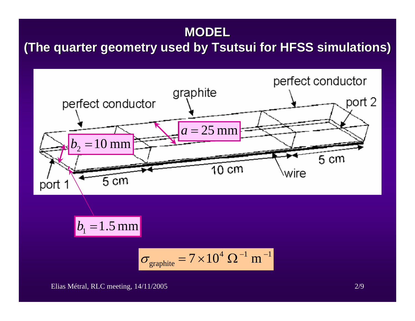## **MODEL**

# **(The quarter geometry used by Tsutsui for HFSS simulations)**



Elias Métral, RLC meeting, 14/11/2005 2/9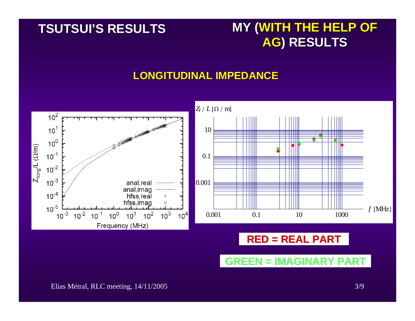## **TSUTSUI TSUTSUI'S RESULTS S RESULTS**

# **MY (WITH THE HELP OF AG) RESULTS ) RESULTS**

#### **LONGITUDINAL IMPEDANCE LONGITUDINAL IMPEDANCE**

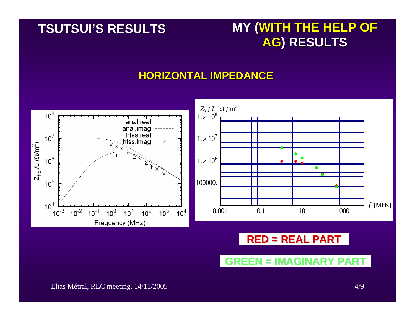## **TSUTSUI TSUTSUI'S RESULTS S RESULTS**

# **MY (WITH THE HELP OF AG) RESULTS ) RESULTS**

#### **HORIZONTAL IMPEDANCE HORIZONTAL IMPEDANCE**



## **RED = REAL PART RED = REAL PART**

**GREEN = IMAGINARY PART GREEN = IMAGINARY PART**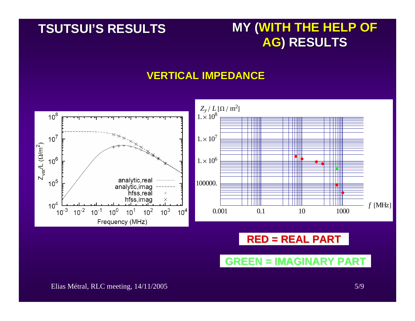## **TSUTSUI TSUTSUI'S RESULTS S RESULTS**

# **MY (WITH THE HELP OF AG) RESULTS ) RESULTS**

#### **VERTICAL IMPEDANCE VERTICAL IMPEDANCE**



## **RED = REAL PART RED = REAL PART**

**GREEN = IMAGINARY PART GREEN = IMAGINARY PART**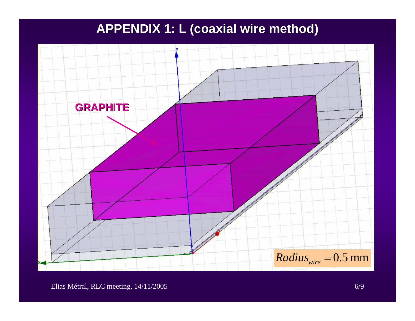# **APPENDIX 1: L (coaxial wire method) APPENDIX 1: L (coaxial wire method)**

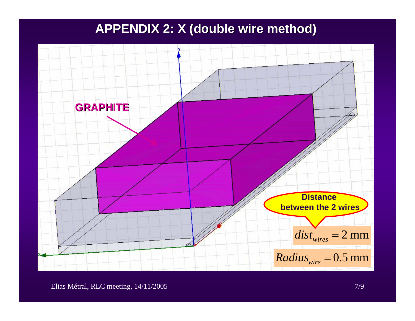## **APPENDIX 2: X (double wire method) APPENDIX 2: X (double wire method)**

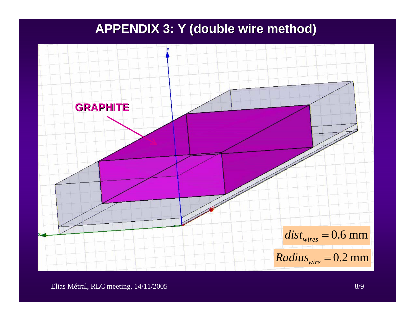## **APPENDIX 3: Y (double wire method) APPENDIX 3: Y (double wire method)**